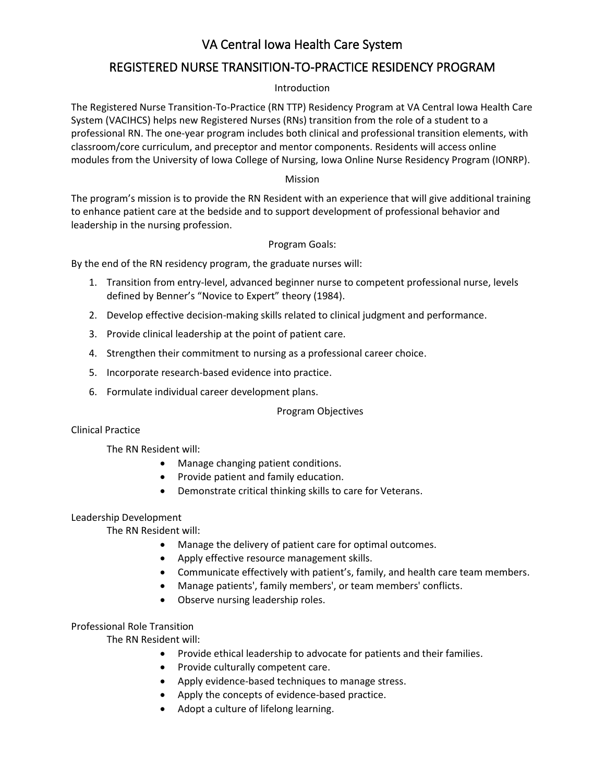# VA Central Iowa Health Care System

## REGISTERED NURSE TRANSITION-TO-PRACTICE RESIDENCY PROGRAM

## Introduction

The Registered Nurse Transition-To-Practice (RN TTP) Residency Program at VA Central Iowa Health Care System (VACIHCS) helps new Registered Nurses (RNs) transition from the role of a student to a professional RN. The one-year program includes both clinical and professional transition elements, with classroom/core curriculum, and preceptor and mentor components. Residents will access online modules from the University of Iowa College of Nursing, Iowa Online Nurse Residency Program (IONRP).

## Mission

The program's mission is to provide the RN Resident with an experience that will give additional training to enhance patient care at the bedside and to support development of professional behavior and leadership in the nursing profession.

## Program Goals:

By the end of the RN residency program, the graduate nurses will:

- 1. Transition from entry-level, advanced beginner nurse to competent professional nurse, levels defined by Benner's "Novice to Expert" theory (1984).
- 2. Develop effective decision-making skills related to clinical judgment and performance.
- 3. Provide clinical leadership at the point of patient care.
- 4. Strengthen their commitment to nursing as a professional career choice.
- 5. Incorporate research-based evidence into practice.
- 6. Formulate individual career development plans.

#### Program Objectives

Clinical Practice

The RN Resident will:

- Manage changing patient conditions.
- Provide patient and family education.
- Demonstrate critical thinking skills to care for Veterans.

#### Leadership Development

The RN Resident will:

- Manage the delivery of patient care for optimal outcomes.
- Apply effective resource management skills.
- Communicate effectively with patient's, family, and health care team members.
- Manage patients', family members', or team members' conflicts.
- Observe nursing leadership roles.

#### Professional Role Transition

The RN Resident will:

- Provide ethical leadership to advocate for patients and their families.
- Provide culturally competent care.
- Apply evidence-based techniques to manage stress.
- Apply the concepts of evidence-based practice.
- Adopt a culture of lifelong learning.